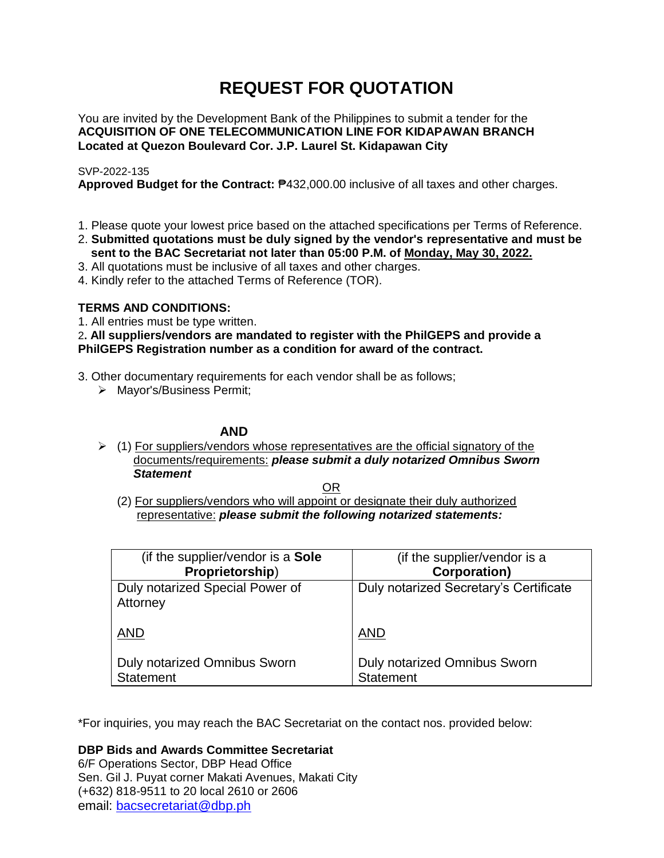# **REQUEST FOR QUOTATION**

You are invited by the Development Bank of the Philippines to submit a tender for the **ACQUISITION OF ONE TELECOMMUNICATION LINE FOR KIDAPAWAN BRANCH Located at Quezon Boulevard Cor. J.P. Laurel St. Kidapawan City**

# SVP-2022-135

**Approved Budget for the Contract:** ₱432,000.00 inclusive of all taxes and other charges.

- 1. Please quote your lowest price based on the attached specifications per Terms of Reference.
- 2. **Submitted quotations must be duly signed by the vendor's representative and must be sent to the BAC Secretariat not later than 05:00 P.M. of Monday, May 30, 2022.**
- 3. All quotations must be inclusive of all taxes and other charges.
- 4. Kindly refer to the attached Terms of Reference (TOR).

# **TERMS AND CONDITIONS:**

1. All entries must be type written.

2**. All suppliers/vendors are mandated to register with the PhilGEPS and provide a PhilGEPS Registration number as a condition for award of the contract.**

- 3. Other documentary requirements for each vendor shall be as follows;
	- > Mayor's/Business Permit;

# **AND**

 $\geq$  (1) For suppliers/vendors whose representatives are the official signatory of the documents/requirements: *please submit a duly notarized Omnibus Sworn Statement*

<u>OR Starting and the Starting OR Starting</u>

(2) For suppliers/vendors who will appoint or designate their duly authorized representative: *please submit the following notarized statements:*

| (if the supplier/vendor is a Sole           | (if the supplier/vendor is a           |
|---------------------------------------------|----------------------------------------|
| Proprietorship)                             | <b>Corporation)</b>                    |
| Duly notarized Special Power of<br>Attorney | Duly notarized Secretary's Certificate |
| <b>AND</b>                                  | <b>AND</b>                             |
| Duly notarized Omnibus Sworn                | Duly notarized Omnibus Sworn           |
| <b>Statement</b>                            | <b>Statement</b>                       |

\*For inquiries, you may reach the BAC Secretariat on the contact nos. provided below:

**DBP Bids and Awards Committee Secretariat** 

6/F Operations Sector, DBP Head Office Sen. Gil J. Puyat corner Makati Avenues, Makati City (+632) 818-9511 to 20 local 2610 or 2606 email: [bacsecretariat@dbp.ph](mailto:bacsecretariat@dbp.ph)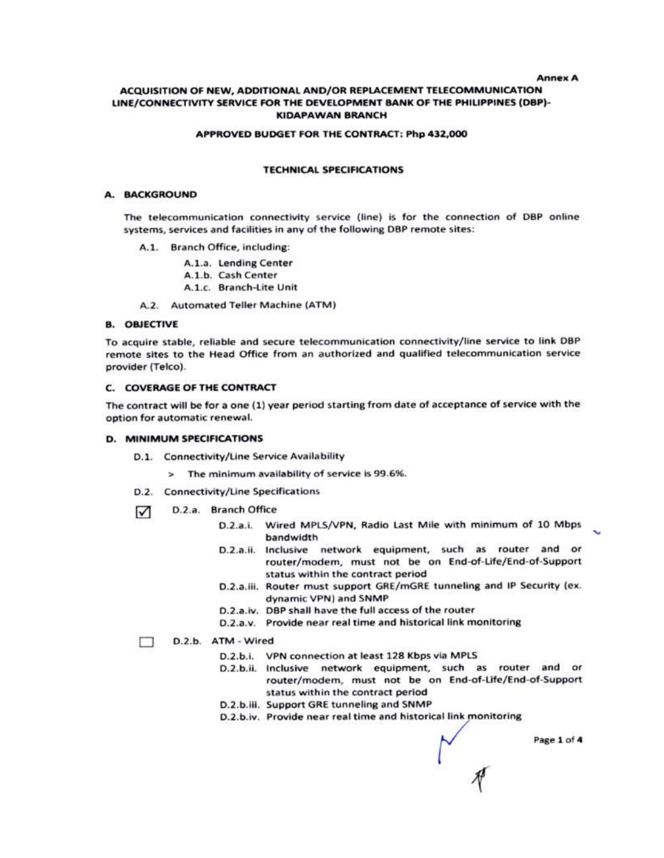**Annex A** 

### ACQUISITION OF NEW, ADDITIONAL AND/OR REPLACEMENT TELECOMMUNICATION LINE/CONNECTIVITY SERVICE FOR THE DEVELOPMENT BANK OF THE PHILIPPINES (DBP)-**KIDAPAWAN BRANCH**

#### APPROVED BUDGET FOR THE CONTRACT: Php 432,000

#### **TECHNICAL SPECIFICATIONS**

#### A. BACKGROUND

The telecommunication connectivity service (line) is for the connection of DBP online systems, services and facilities in any of the following DBP remote sites:

- A.1. Branch Office, including:
	- A.1.a. Lending Center
	- A.1.b. Cash Center
	- A.1.c. Branch-Lite Unit

A.2. Automated Teller Machine (ATM)

#### **8. OBJECTIVE**

To acquire stable, reliable and secure telecommunication connectivity/line service to link DBP remote sites to the Head Office from an authorized and qualified telecommunication service provider (Telco).

#### C. COVERAGE OF THE CONTRACT

The contract will be for a one (1) year period starting from date of acceptance of service with the option for automatic renewal.

#### **D. MINIMUM SPECIFICATIONS**

- D.1. Connectivity/Line Service Availability
	- > The minimum availability of service is 99.6%.
- D.2. Connectivity/Line Specifications
- D.2.a. Branch Office ☑
	- D.2.a.i. Wired MPLS/VPN, Radio Last Mile with minimum of 10 Mbps bandwidth
	- D.2.a.ii. Inclusive network equipment, such as router and or router/modem, must not be on End-of-Life/End-of-Support status within the contract period
	- D.2.a.iii. Router must support GRE/mGRE tunneling and IP Security (ex. dynamic VPN) and SNMP
	- D.2.a.iv. DBP shall have the full access of the router.
	- D.2.a.v. Provide near real time and historical link monitoring

#### П D.2.b. ATM - Wired

- D.2.b.i. VPN connection at least 128 Kbps via MPLS
- D.2.b.ii. Inclusive network equipment, such as router and or router/modem, must not be on End-of-Life/End-of-Support status within the contract period
- D.2.b.iii. Support GRE tunneling and SNMP
- D.2.b.iv. Provide near real time and historical link monitoring

Page 1 of 4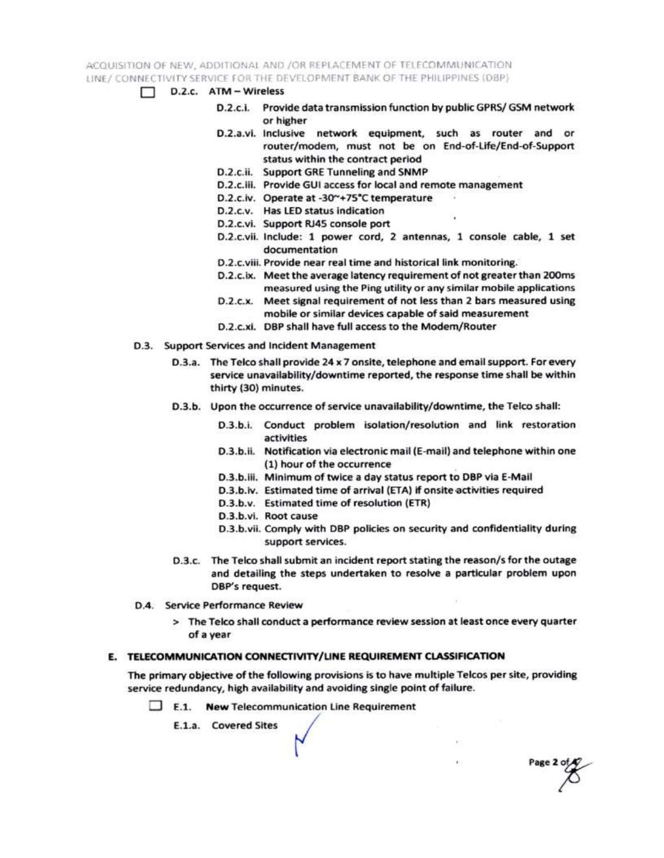ACQUISITION OF NEW, ADDITIONAL AND /OR REPLACEMENT OF TELECOMMUNICATION LINE / CONNECTIVITY SERVICE FOR THE DEVELOPMENT BANK OF THE PHILIPPINES (DBP)

- $\Box$  D.2.c. ATM Wireless
	- D.2.c.i. Provide data transmission function by public GPRS/ GSM network or higher
	- D.2.a.vi. Inclusive network equipment, such as router and or router/modem, must not be on End-of-Life/End-of-Support status within the contract period
	- D.2.c.ii. Support GRE Tunneling and SNMP
	- D.2.c.iii. Provide GUI access for local and remote management
	- D.2.c.iv. Operate at -30~+75°C temperature
	- D.2.c.v. Has LED status indication
	- D.2.c.vi. Support RJ45 console port
	- D.2.c.vii. Include: 1 power cord, 2 antennas, 1 console cable, 1 set documentation
	- D.2.c.viii. Provide near real time and historical link monitoring.
	- D.2.c.ix. Meet the average latency requirement of not greater than 200ms measured using the Ping utility or any similar mobile applications
	- D.2.c.x. Meet signal requirement of not less than 2 bars measured using mobile or similar devices capable of said measurement
	- D.2.c.xi. DBP shall have full access to the Modem/Router
- D.3. Support Services and Incident Management
	- D.3.a. The Telco shall provide 24 x 7 onsite, telephone and email support. For every service unavailability/downtime reported, the response time shall be within thirty (30) minutes.
	- D.3.b. Upon the occurrence of service unavailability/downtime, the Telco shall:
		- D.3.b.i. Conduct problem isolation/resolution and link restoration activities
		- D.3.b.ii. Notification via electronic mail (E-mail) and telephone within one (1) hour of the occurrence
		- D.3.b.iii. Minimum of twice a day status report to DBP via E-Mail
		- D.3.b.iv. Estimated time of arrival (ETA) if onsite activities required
		- D.3.b.v. Estimated time of resolution (ETR)
		- D.3.b.vi. Root cause
		- D.3.b.vii. Comply with DBP policies on security and confidentiality during support services.

Page 2 of

- D.3.c. The Telco shall submit an incident report stating the reason/s for the outage and detailing the steps undertaken to resolve a particular problem upon DBP's request.
- D.4. Service Performance Review
	- > The Telco shall conduct a performance review session at least once every quarter of a year

## E. TELECOMMUNICATION CONNECTIVITY/LINE REQUIREMENT CLASSIFICATION

The primary objective of the following provisions is to have multiple Telcos per site, providing service redundancy, high availability and avoiding single point of failure.

 $\Box$  E.1. New Telecommunication Line Requirement

E.1.a. Covered Sites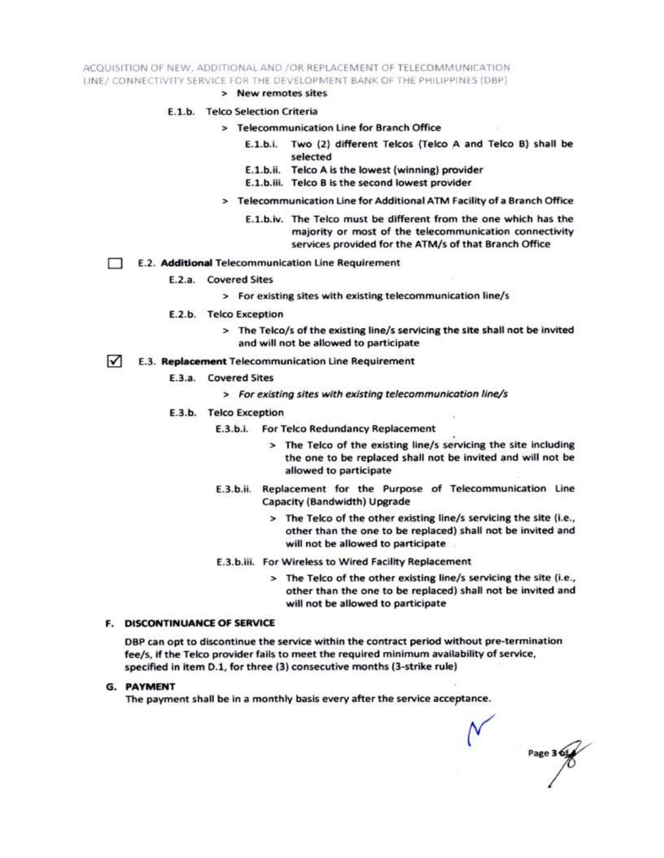ACQUISITION OF NEW, ADDITIONAL AND /OR REPLACEMENT OF TELECOMMUNICATION LINE/ CONNECTIVITY SERVICE FOR THE DEVELOPMENT BANK OF THE PHILIPPINES (DBP)

> New remotes sites

#### E.1.b. Telco Selection Criteria

- > Telecommunication Line for Branch Office
	- E.1.b.i. Two (2) different Telcos (Telco A and Telco B) shall be selected
	- E.1.b.ii. Telco A is the lowest (winning) provider
	- E.1.b.iii. Telco B is the second lowest provider
- > Telecommunication Line for Additional ATM Facility of a Branch Office
	- E.1.b.iv. The Telco must be different from the one which has the majority or most of the telecommunication connectivity services provided for the ATM/s of that Branch Office
- E.2. Additional Telecommunication Line Requirement Ð
	- E.2.a. Covered Sites
		- > For existing sites with existing telecommunication line/s
	- E.2.b. Telco Exception
		- > The Telco/s of the existing line/s servicing the site shall not be invited and will not be allowed to participate
- $\sqrt{ }$ E.3. Replacement Telecommunication Line Requirement
	- E.3.a. Covered Sites
		- > For existing sites with existing telecommunication line/s
	- E.3.b. Telco Exception
		- E.3.b.i. For Telco Redundancy Replacement
			- > The Telco of the existing line/s servicing the site including the one to be replaced shall not be invited and will not be allowed to participate
		- E.3.b.ii. Replacement for the Purpose of Telecommunication Line Capacity (Bandwidth) Upgrade
			- > The Telco of the other existing line/s servicing the site (i.e., other than the one to be replaced) shall not be invited and will not be allowed to participate
		- E.3.b.iii. For Wireless to Wired Facility Replacement
			- > The Telco of the other existing line/s servicing the site (i.e., other than the one to be replaced) shall not be invited and will not be allowed to participate

#### **F. DISCONTINUANCE OF SERVICE**

DBP can opt to discontinue the service within the contract period without pre-termination fee/s, if the Telco provider fails to meet the required minimum availability of service, specified in item D.1, for three (3) consecutive months (3-strike rule)

**G. PAYMENT** 

The payment shall be in a monthly basis every after the service acceptance.

Page 3 6t